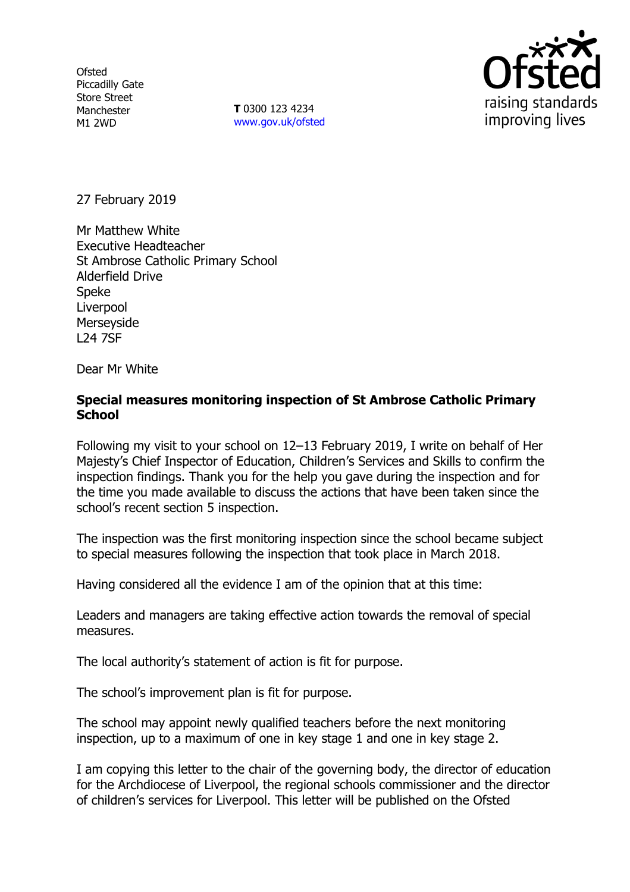**Ofsted** Piccadilly Gate Store Street Manchester M1 2WD

**T** 0300 123 4234 www.gov.uk/ofsted



27 February 2019

Mr Matthew White Executive Headteacher St Ambrose Catholic Primary School Alderfield Drive Speke Liverpool Merseyside L24 7SF

Dear Mr White

### **Special measures monitoring inspection of St Ambrose Catholic Primary School**

Following my visit to your school on 12–13 February 2019, I write on behalf of Her Majesty's Chief Inspector of Education, Children's Services and Skills to confirm the inspection findings. Thank you for the help you gave during the inspection and for the time you made available to discuss the actions that have been taken since the school's recent section 5 inspection.

The inspection was the first monitoring inspection since the school became subject to special measures following the inspection that took place in March 2018.

Having considered all the evidence I am of the opinion that at this time:

Leaders and managers are taking effective action towards the removal of special measures.

The local authority's statement of action is fit for purpose.

The school's improvement plan is fit for purpose.

The school may appoint newly qualified teachers before the next monitoring inspection, up to a maximum of one in key stage 1 and one in key stage 2.

I am copying this letter to the chair of the governing body, the director of education for the Archdiocese of Liverpool, the regional schools commissioner and the director of children's services for Liverpool. This letter will be published on the Ofsted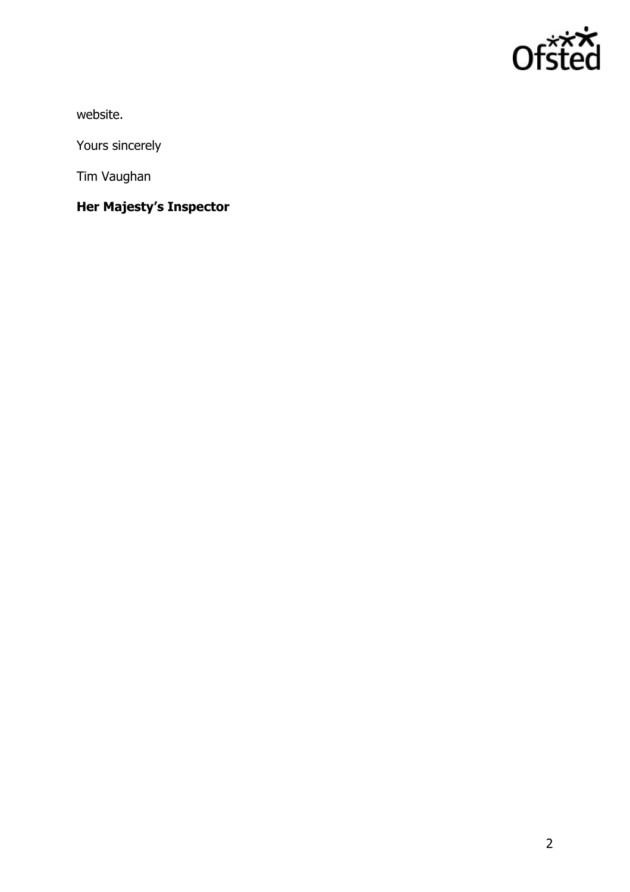

website.

Yours sincerely

Tim Vaughan

**Her Majesty's Inspector**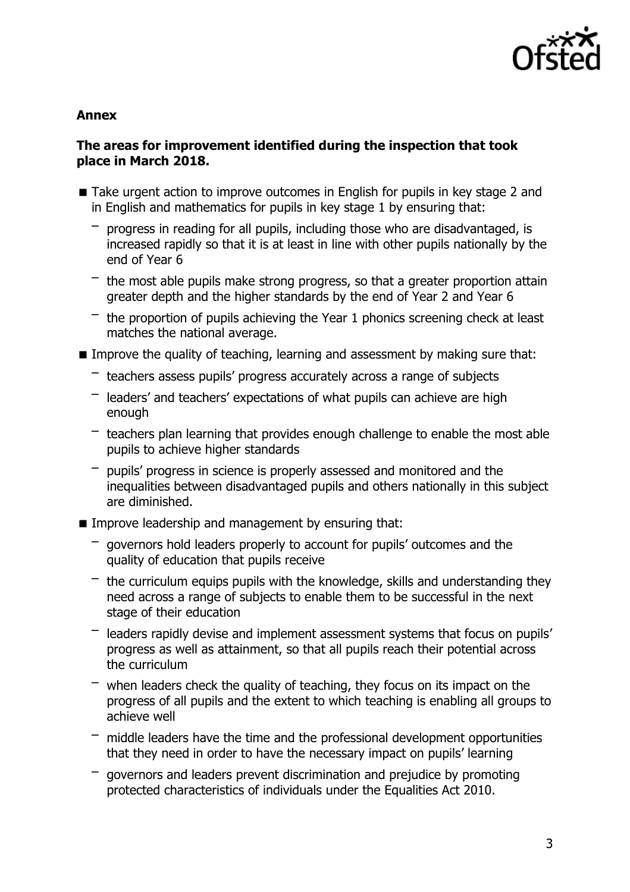

#### **Annex**

#### **The areas for improvement identified during the inspection that took place in March 2018.**

- Take urgent action to improve outcomes in English for pupils in key stage 2 and in English and mathematics for pupils in key stage 1 by ensuring that:
	- progress in reading for all pupils, including those who are disadvantaged, is increased rapidly so that it is at least in line with other pupils nationally by the end of Year 6
	- $-$  the most able pupils make strong progress, so that a greater proportion attain greater depth and the higher standards by the end of Year 2 and Year 6
	- $-$  the proportion of pupils achieving the Year 1 phonics screening check at least matches the national average.
- Improve the quality of teaching, learning and assessment by making sure that:
	- teachers assess pupils' progress accurately across a range of subjects
	- $-$  leaders' and teachers' expectations of what pupils can achieve are high enough
	- $-$  teachers plan learning that provides enough challenge to enable the most able pupils to achieve higher standards
	- pupils' progress in science is properly assessed and monitored and the inequalities between disadvantaged pupils and others nationally in this subject are diminished.
- **IMPROVE LEADERSHIP and management by ensuring that:** 
	- governors hold leaders properly to account for pupils' outcomes and the quality of education that pupils receive
	- $-$  the curriculum equips pupils with the knowledge, skills and understanding they need across a range of subjects to enable them to be successful in the next stage of their education
	- leaders rapidly devise and implement assessment systems that focus on pupils' progress as well as attainment, so that all pupils reach their potential across the curriculum
	- $-$  when leaders check the quality of teaching, they focus on its impact on the progress of all pupils and the extent to which teaching is enabling all groups to achieve well
	- $-$  middle leaders have the time and the professional development opportunities that they need in order to have the necessary impact on pupils' learning
	- governors and leaders prevent discrimination and prejudice by promoting protected characteristics of individuals under the Equalities Act 2010.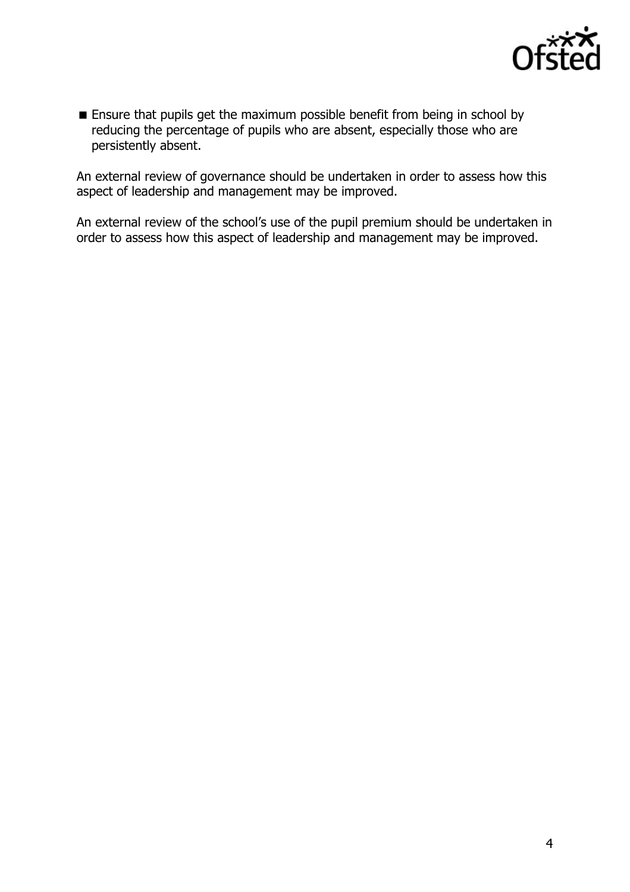

**Ensure that pupils get the maximum possible benefit from being in school by** reducing the percentage of pupils who are absent, especially those who are persistently absent.

An external review of governance should be undertaken in order to assess how this aspect of leadership and management may be improved.

An external review of the school's use of the pupil premium should be undertaken in order to assess how this aspect of leadership and management may be improved.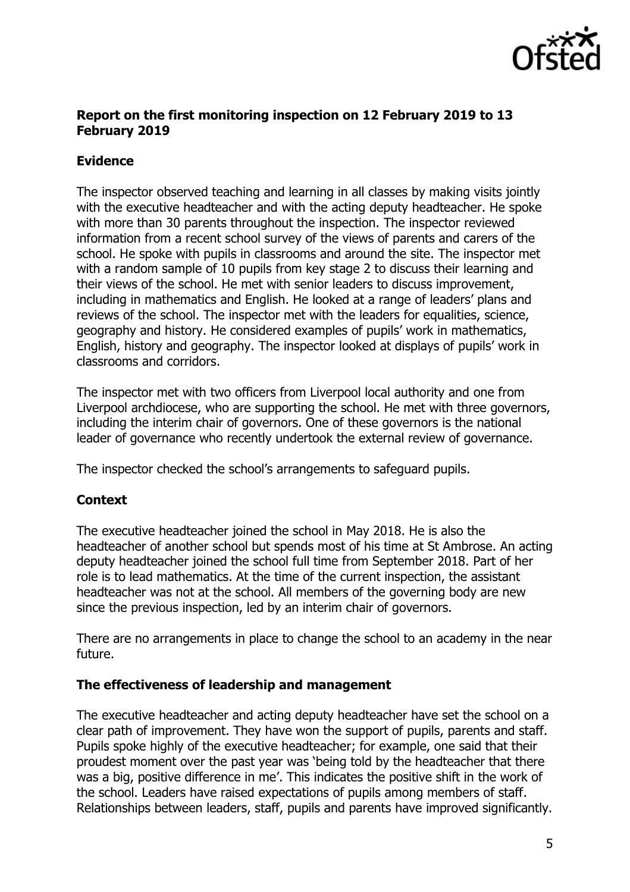

#### **Report on the first monitoring inspection on 12 February 2019 to 13 February 2019**

# **Evidence**

The inspector observed teaching and learning in all classes by making visits jointly with the executive headteacher and with the acting deputy headteacher. He spoke with more than 30 parents throughout the inspection. The inspector reviewed information from a recent school survey of the views of parents and carers of the school. He spoke with pupils in classrooms and around the site. The inspector met with a random sample of 10 pupils from key stage 2 to discuss their learning and their views of the school. He met with senior leaders to discuss improvement, including in mathematics and English. He looked at a range of leaders' plans and reviews of the school. The inspector met with the leaders for equalities, science, geography and history. He considered examples of pupils' work in mathematics, English, history and geography. The inspector looked at displays of pupils' work in classrooms and corridors.

The inspector met with two officers from Liverpool local authority and one from Liverpool archdiocese, who are supporting the school. He met with three governors, including the interim chair of governors. One of these governors is the national leader of governance who recently undertook the external review of governance.

The inspector checked the school's arrangements to safeguard pupils.

# **Context**

The executive headteacher joined the school in May 2018. He is also the headteacher of another school but spends most of his time at St Ambrose. An acting deputy headteacher joined the school full time from September 2018. Part of her role is to lead mathematics. At the time of the current inspection, the assistant headteacher was not at the school. All members of the governing body are new since the previous inspection, led by an interim chair of governors.

There are no arrangements in place to change the school to an academy in the near future.

#### **The effectiveness of leadership and management**

The executive headteacher and acting deputy headteacher have set the school on a clear path of improvement. They have won the support of pupils, parents and staff. Pupils spoke highly of the executive headteacher; for example, one said that their proudest moment over the past year was 'being told by the headteacher that there was a big, positive difference in me'. This indicates the positive shift in the work of the school. Leaders have raised expectations of pupils among members of staff. Relationships between leaders, staff, pupils and parents have improved significantly.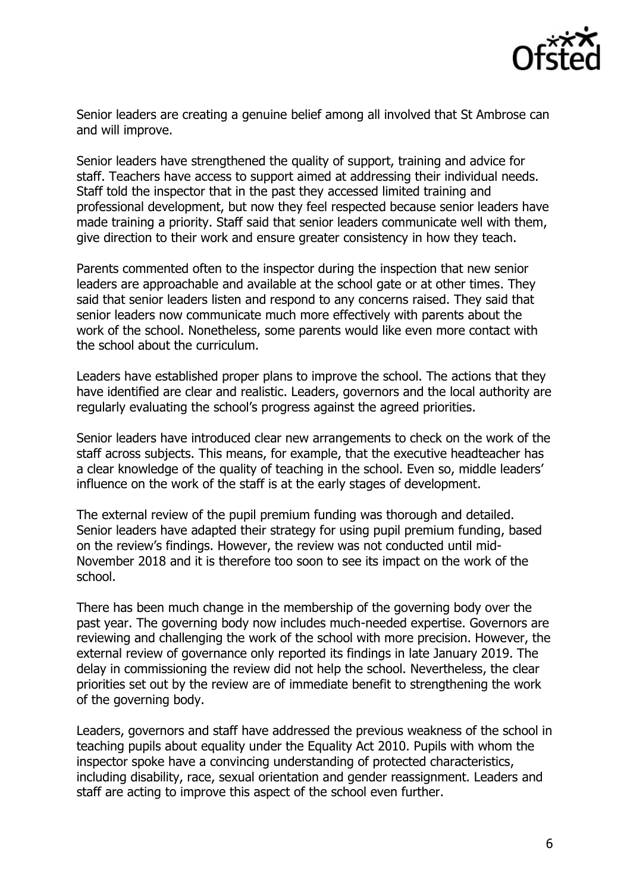

Senior leaders are creating a genuine belief among all involved that St Ambrose can and will improve.

Senior leaders have strengthened the quality of support, training and advice for staff. Teachers have access to support aimed at addressing their individual needs. Staff told the inspector that in the past they accessed limited training and professional development, but now they feel respected because senior leaders have made training a priority. Staff said that senior leaders communicate well with them, give direction to their work and ensure greater consistency in how they teach.

Parents commented often to the inspector during the inspection that new senior leaders are approachable and available at the school gate or at other times. They said that senior leaders listen and respond to any concerns raised. They said that senior leaders now communicate much more effectively with parents about the work of the school. Nonetheless, some parents would like even more contact with the school about the curriculum.

Leaders have established proper plans to improve the school. The actions that they have identified are clear and realistic. Leaders, governors and the local authority are regularly evaluating the school's progress against the agreed priorities.

Senior leaders have introduced clear new arrangements to check on the work of the staff across subjects. This means, for example, that the executive headteacher has a clear knowledge of the quality of teaching in the school. Even so, middle leaders' influence on the work of the staff is at the early stages of development.

The external review of the pupil premium funding was thorough and detailed. Senior leaders have adapted their strategy for using pupil premium funding, based on the review's findings. However, the review was not conducted until mid-November 2018 and it is therefore too soon to see its impact on the work of the school.

There has been much change in the membership of the governing body over the past year. The governing body now includes much-needed expertise. Governors are reviewing and challenging the work of the school with more precision. However, the external review of governance only reported its findings in late January 2019. The delay in commissioning the review did not help the school. Nevertheless, the clear priorities set out by the review are of immediate benefit to strengthening the work of the governing body.

Leaders, governors and staff have addressed the previous weakness of the school in teaching pupils about equality under the Equality Act 2010. Pupils with whom the inspector spoke have a convincing understanding of protected characteristics, including disability, race, sexual orientation and gender reassignment. Leaders and staff are acting to improve this aspect of the school even further.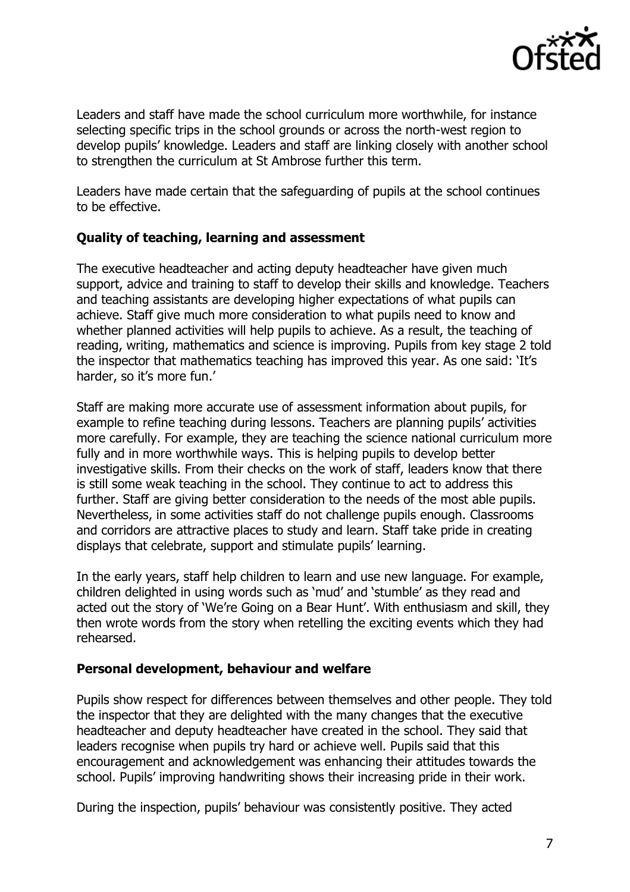

Leaders and staff have made the school curriculum more worthwhile, for instance selecting specific trips in the school grounds or across the north-west region to develop pupils' knowledge. Leaders and staff are linking closely with another school to strengthen the curriculum at St Ambrose further this term.

Leaders have made certain that the safeguarding of pupils at the school continues to be effective.

### **Quality of teaching, learning and assessment**

The executive headteacher and acting deputy headteacher have given much support, advice and training to staff to develop their skills and knowledge. Teachers and teaching assistants are developing higher expectations of what pupils can achieve. Staff give much more consideration to what pupils need to know and whether planned activities will help pupils to achieve. As a result, the teaching of reading, writing, mathematics and science is improving. Pupils from key stage 2 told the inspector that mathematics teaching has improved this year. As one said: 'It's harder, so it's more fun.'

Staff are making more accurate use of assessment information about pupils, for example to refine teaching during lessons. Teachers are planning pupils' activities more carefully. For example, they are teaching the science national curriculum more fully and in more worthwhile ways. This is helping pupils to develop better investigative skills. From their checks on the work of staff, leaders know that there is still some weak teaching in the school. They continue to act to address this further. Staff are giving better consideration to the needs of the most able pupils. Nevertheless, in some activities staff do not challenge pupils enough. Classrooms and corridors are attractive places to study and learn. Staff take pride in creating displays that celebrate, support and stimulate pupils' learning.

In the early years, staff help children to learn and use new language. For example, children delighted in using words such as 'mud' and 'stumble' as they read and acted out the story of 'We're Going on a Bear Hunt'. With enthusiasm and skill, they then wrote words from the story when retelling the exciting events which they had rehearsed.

#### **Personal development, behaviour and welfare**

Pupils show respect for differences between themselves and other people. They told the inspector that they are delighted with the many changes that the executive headteacher and deputy headteacher have created in the school. They said that leaders recognise when pupils try hard or achieve well. Pupils said that this encouragement and acknowledgement was enhancing their attitudes towards the school. Pupils' improving handwriting shows their increasing pride in their work.

During the inspection, pupils' behaviour was consistently positive. They acted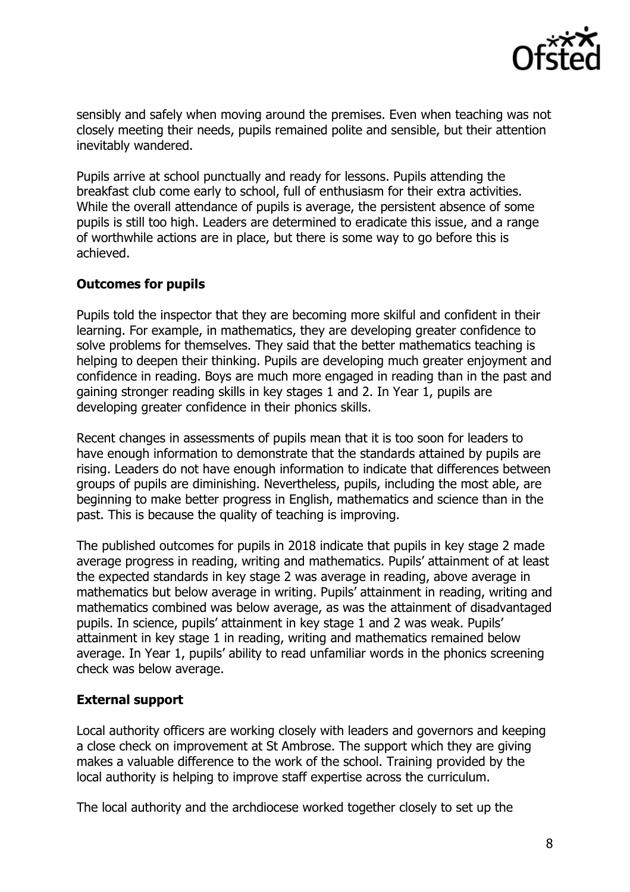

sensibly and safely when moving around the premises. Even when teaching was not closely meeting their needs, pupils remained polite and sensible, but their attention inevitably wandered.

Pupils arrive at school punctually and ready for lessons. Pupils attending the breakfast club come early to school, full of enthusiasm for their extra activities. While the overall attendance of pupils is average, the persistent absence of some pupils is still too high. Leaders are determined to eradicate this issue, and a range of worthwhile actions are in place, but there is some way to go before this is achieved.

#### **Outcomes for pupils**

Pupils told the inspector that they are becoming more skilful and confident in their learning. For example, in mathematics, they are developing greater confidence to solve problems for themselves. They said that the better mathematics teaching is helping to deepen their thinking. Pupils are developing much greater enjoyment and confidence in reading. Boys are much more engaged in reading than in the past and gaining stronger reading skills in key stages 1 and 2. In Year 1, pupils are developing greater confidence in their phonics skills.

Recent changes in assessments of pupils mean that it is too soon for leaders to have enough information to demonstrate that the standards attained by pupils are rising. Leaders do not have enough information to indicate that differences between groups of pupils are diminishing. Nevertheless, pupils, including the most able, are beginning to make better progress in English, mathematics and science than in the past. This is because the quality of teaching is improving.

The published outcomes for pupils in 2018 indicate that pupils in key stage 2 made average progress in reading, writing and mathematics. Pupils' attainment of at least the expected standards in key stage 2 was average in reading, above average in mathematics but below average in writing. Pupils' attainment in reading, writing and mathematics combined was below average, as was the attainment of disadvantaged pupils. In science, pupils' attainment in key stage 1 and 2 was weak. Pupils' attainment in key stage 1 in reading, writing and mathematics remained below average. In Year 1, pupils' ability to read unfamiliar words in the phonics screening check was below average.

#### **External support**

Local authority officers are working closely with leaders and governors and keeping a close check on improvement at St Ambrose. The support which they are giving makes a valuable difference to the work of the school. Training provided by the local authority is helping to improve staff expertise across the curriculum.

The local authority and the archdiocese worked together closely to set up the